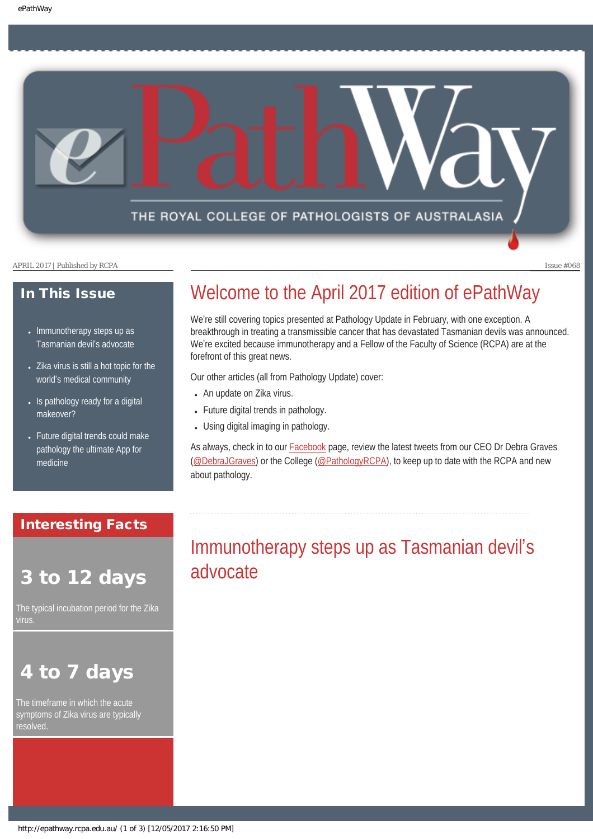THE ROYAL COLLEGE OF PATHOLOGISTS OF AUSTRALASIA

APRIL 2017 | Published by RCPA Issue #068

## In This Issue

- Immunotherapy steps up as [Tasmanian devil](#page-0-0)'s advocate
- Zika virus is still a hot topic for the world'[s medical community](#page-1-0)
- Is pathology ready for a digital [makeover?](#page-2-0)
- Future digital trends could make [pathology the ultimate App for](#page-2-1) [medicine](#page-2-1)

## <span id="page-0-0"></span>Interesting Facts

# 3 to 12 days

The typical incubation period for the Zika

# to 7 days

The timeframe in which the acute symptoms of Zika virus are typically

# Welcome to the April 2017 edition of ePathWay

We're still covering topics presented at Pathology Update in February, with one exception. A breakthrough in treating a transmissible cancer that has devastated Tasmanian devils was announced. We're excited because immunotherapy and a Fellow of the Faculty of Science (RCPA) are at the forefront of this great news.

Our other articles (all from Pathology Update) cover:

- An update on Zika virus.
- Future digital trends in pathology.
- Using digital imaging in pathology.

As always, check in to our **Facebook** page, review the latest tweets from our CEO Dr Debra Graves [\(@DebraJGraves](https://twitter.com/search?q=%40debrajgraves&src=typd)) or the College ([@PathologyRCPA\)](https://twitter.com/pathologyrcpa), to keep up to date with the RCPA and new about pathology.

# Immunotherapy steps up as Tasmanian devil's advocate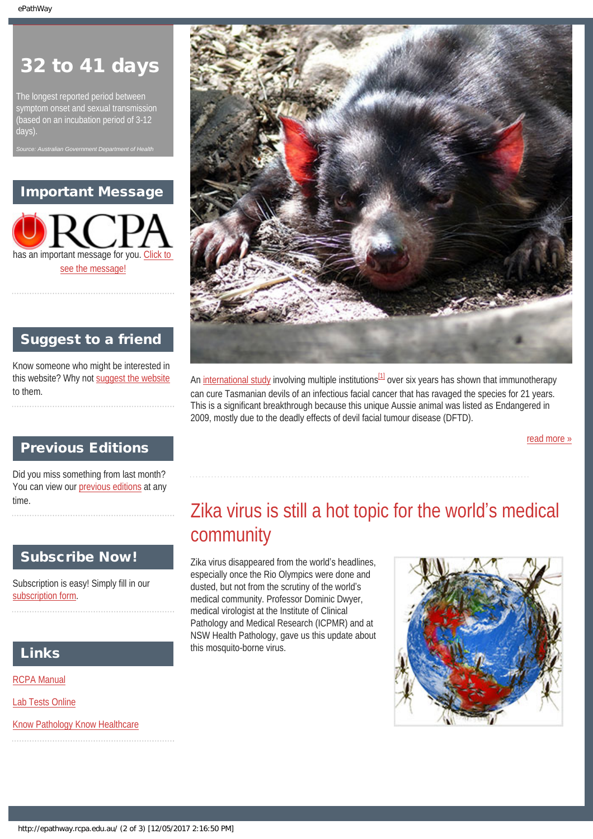# 32 to 41 days

The longest reported period between symptom onset and sexual transmission (based on an incubation period of 3-12 days).

*Source: Australian Government Department of Health*

# Important Message



# Suggest to a friend

Know someone who might be interested in this website? Why not [suggest the website](mailto:?Subject=I%20think%20you%20should%20read%20this%20Newsletter=
http://epathway.rcpa.edu.au/index.html) to them.



An [international study](http://www.nature.com/articles/srep43827) involving multiple institutions $^{[1]}$  $^{[1]}$  $^{[1]}$  over six years has shown that immunotherapy can cure Tasmanian devils of an infectious facial cancer that has ravaged the species for 21 years. This is a significant breakthrough because this unique Aussie animal was listed as Endangered in 2009, mostly due to the deadly effects of devil facial tumour disease (DFTD).

[read more »](#page-6-0)

# Previous Editions

<span id="page-1-0"></span>Did you miss something from last month? You can view our [previous editions](#page-3-0) at any time.

## Subscribe Now!

Subscription is easy! Simply fill in our [subscription form](http://epathway.rcpa.edu.au/subscription.html).

# Links

[RCPA Manual](http://rcpamanual.edu.au/)

[Lab Tests Online](http://www.labtestsonline.org.au/)

[Know Pathology Know Healthcare](http://knowpathology.com.au/)

# Zika virus is still a hot topic for the world's medical community

Zika virus disappeared from the world's headlines, especially once the Rio Olympics were done and dusted, but not from the scrutiny of the world's medical community. Professor Dominic Dwyer, medical virologist at the Institute of Clinical Pathology and Medical Research (ICPMR) and at NSW Health Pathology, gave us this update about this mosquito-borne virus.

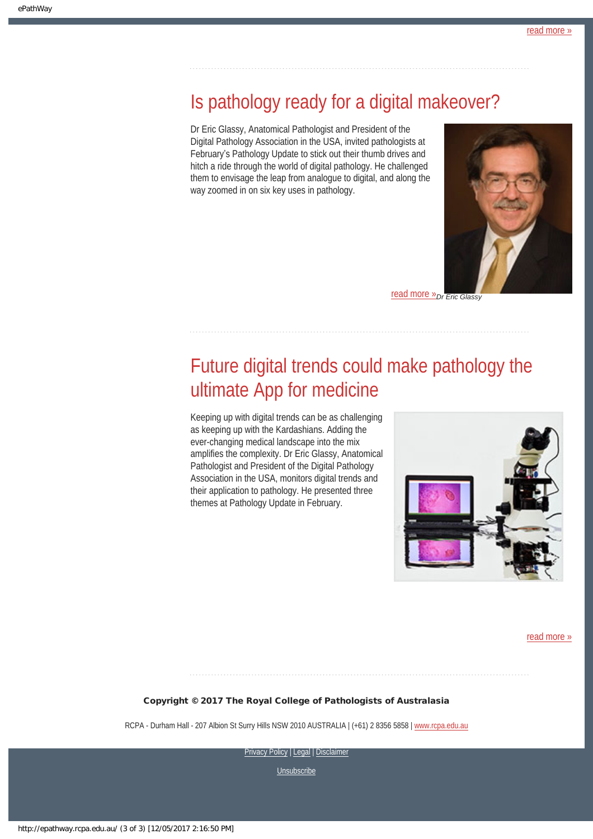# <span id="page-2-0"></span>Is pathology ready for a digital makeover?

Dr Eric Glassy, Anatomical Pathologist and President of the Digital Pathology Association in the USA, invited pathologists at February's Pathology Update to stick out their thumb drives and hitch a ride through the world of digital pathology. He challenged them to envisage the leap from analogue to digital, and along the way zoomed in on six key uses in pathology.



**[read more »](#page-11-0)** Dr Eric Glassy

# <span id="page-2-1"></span>Future digital trends could make pathology the ultimate App for medicine

Keeping up with digital trends can be as challenging as keeping up with the Kardashians. Adding the ever-changing medical landscape into the mix amplifies the complexity. Dr Eric Glassy, Anatomical Pathologist and President of the Digital Pathology Association in the USA, monitors digital trends and their application to pathology. He presented three themes at Pathology Update in February.



[read more »](#page-13-0)

#### Copyright © 2017 The Royal College of Pathologists of Australasia

RCPA - Durham Hall - 207 Albion St Surry Hills NSW 2010 AUSTRALIA | (+61) 2 8356 5858 | [www.rcpa.edu.au](https://www.rcpa.edu.au/)

[Privacy Policy](https://www.rcpa.edu.au/Privacy-Policy.aspx) | [Legal](https://www.rcpa.edu.au/Legal.aspx) | Disclaimer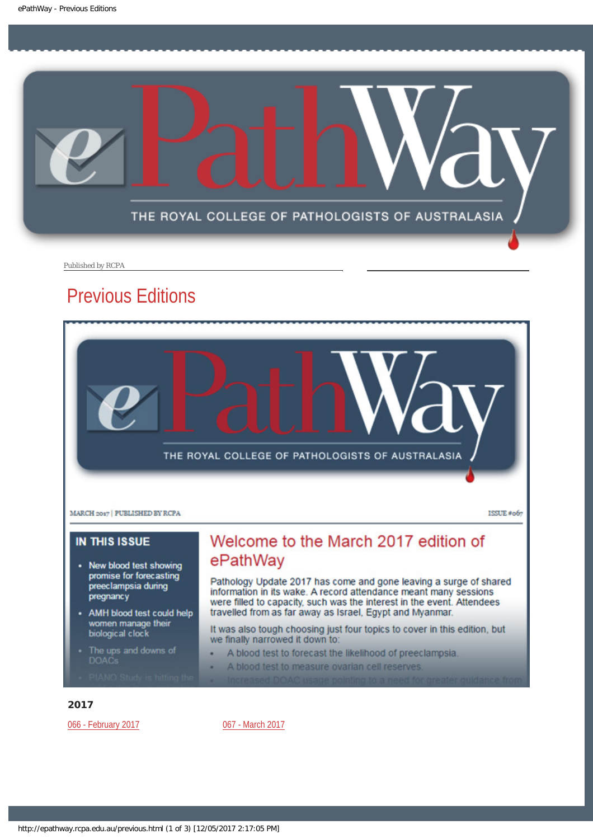<span id="page-3-0"></span>

Published by RCPA

# Previous Editions



- New blood test showing promise for forecasting preeclampsia during pregnancy
- AMH blood test could help women manage their biological clock
- The ups and downs of
- 

# Welcome to the March 2017 edition of ePathWay

Pathology Update 2017 has come and gone leaving a surge of shared information in its wake. A record attendance meant many sessions were filled to capacity, such was the interest in the event. Attendees travelled from as far away as Israel, Egypt and Myanmar.

It was also tough choosing just four topics to cover in this edition, but we finally narrowed it down to:

- A blood test to forecast the likelihood of preeclampsia.
- A blood test to measure ovarian cell reserves. ٠

#### 2017

[066 - February 2017](http://epathway.rcpa.edu.au/previous/066_0217.pdf) **[067 - March 2017](http://epathway.rcpa.edu.au/previous/067_0317.pdf)**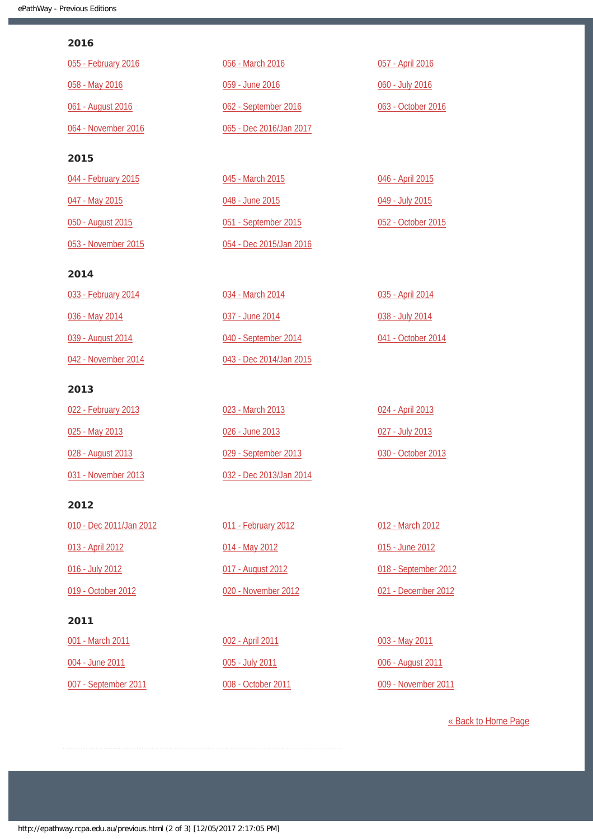### 2016

| 055 - February 2016 | 056 - March 2016        | 057 - April 2016   |
|---------------------|-------------------------|--------------------|
| 058 - May 2016      | 059 - June 2016         | 060 - July 2016    |
| 061 - August 2016   | 062 - September 2016    | 063 - October 2016 |
| 064 - November 2016 | 065 - Dec 2016/Jan 2017 |                    |
| 2015                |                         |                    |
| 044 - February 2015 | 045 - March 2015        | 046 - April 2015   |
| 047 - May 2015      | 048 - June 2015         | 049 - July 2015    |
| 050 - August 2015   | 051 - September 2015    | 052 - October 2015 |

#### 2014

[053 - November 2015](http://epathway.rcpa.edu.au/previous/053_1115.pdf)

| 033 - February 2014 | 034 - March 2014        | 035 - April 2014   |
|---------------------|-------------------------|--------------------|
| 036 - May 2014      | 037 - June 2014         | 038 - July 2014    |
| 039 - August 2014   | 040 - September 2014    | 041 - October 2014 |
| 042 - November 2014 | 043 - Dec 2014/Jan 2015 |                    |

[054 - Dec 2015/Jan 2016](http://epathway.rcpa.edu.au/previous/054_1215.pdf)

## 2013

| 022 - February 2013 | 023 - March 2013        | 024 - April 2013   |
|---------------------|-------------------------|--------------------|
| 025 - May 2013      | 026 - June 2013         | 027 - July 2013    |
| 028 - August 2013   | 029 - September 2013    | 030 - October 2013 |
| 031 - November 2013 | 032 - Dec 2013/Jan 2014 |                    |

### 2012

| 010 - Dec 2011/Jan 2012 |
|-------------------------|
| 013 - April 2012        |
| 016 - July 2012         |
| 019 - October 2012      |
|                         |

## 2011

[001 - March 2011](http://epathway.rcpa.edu.au/previous/001_0311.pdf) [004 - June 2011](http://epathway.rcpa.edu.au/previous/004_0611.pdf) [007 - September 2011](http://epathway.rcpa.edu.au/previous/007_0911.pdf) [011 - February 2012](http://epathway.rcpa.edu.au/previous/011_0212.pdf) [014 - May 2012](http://epathway.rcpa.edu.au/previous/014_0512.pdf) [017 - August 2012](http://epathway.rcpa.edu.au/previous/017_0812.pdf) [020 - November 2012](http://epathway.rcpa.edu.au/previous/020_1112.pdf)

[002 - April 2011](http://epathway.rcpa.edu.au/previous/002_0411.pdf) [005 - July 2011](http://epathway.rcpa.edu.au/previous/005_0711.pdf) [008 - October 2011](http://epathway.rcpa.edu.au/previous/008_1011.pdf)

[012 - March 2012](http://epathway.rcpa.edu.au/previous/012_0312.pdf) [015 - June 2012](http://epathway.rcpa.edu.au/previous/015_0612.pdf) [018 - September 2012](http://epathway.rcpa.edu.au/previous/018_0912.pdf) [021 - December 2012](http://epathway.rcpa.edu.au/previous/021_1212.pdf)

[003 - May 2011](http://epathway.rcpa.edu.au/previous/003_0511.pdf) [006 - August 2011](http://epathway.rcpa.edu.au/previous/006_0811.pdf) [009 - November 2011](http://epathway.rcpa.edu.au/previous/009_1111.pdf)

[« Back to Home Page](http://epathway.rcpa.edu.au/index.html)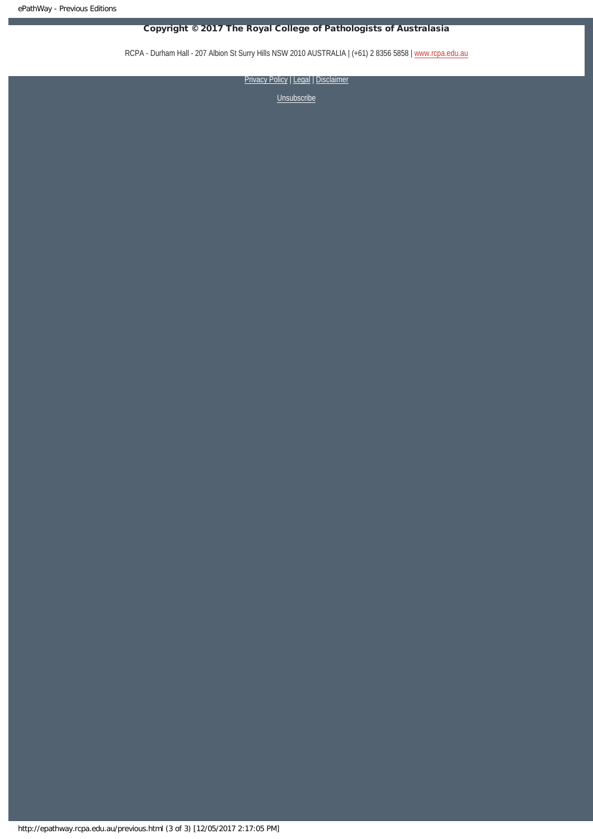## Copyright © 2017 The Royal College of Pathologists of Australasia

RCPA - Durham Hall - 207 Albion St Surry Hills NSW 2010 AUSTRALIA | (+61) 2 8356 5858 | [www.rcpa.edu.au](https://www.rcpa.edu.au/)

[Privacy Policy](https://www.rcpa.edu.au/Content-Library/Privacy.aspx) | [Legal](https://www.rcpa.edu.au/Legal.aspx) | Disclaimer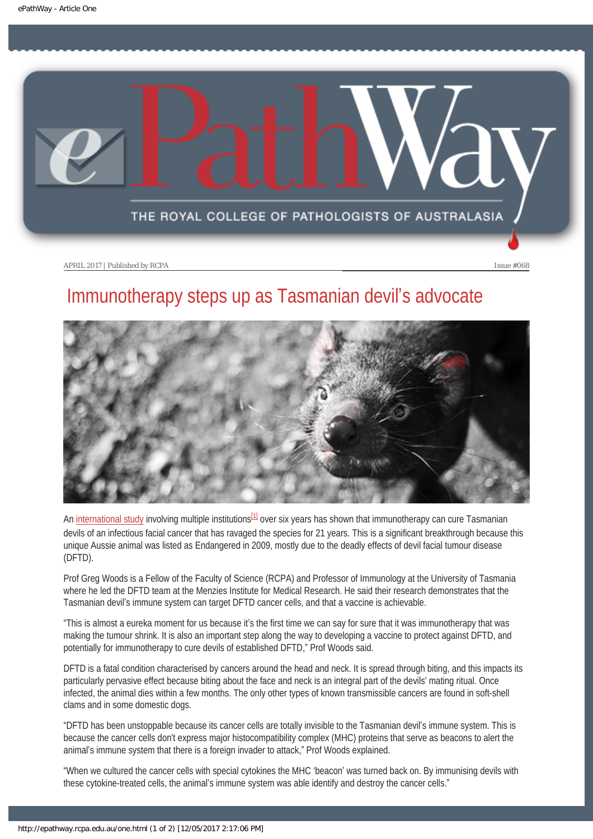<span id="page-6-0"></span>

# Immunotherapy steps up as Tasmanian devil's advocate



<span id="page-6-1"></span>An [international study](http://www.nature.com/articles/srep43827) involving multiple institutions $^{11}$  over six years has shown that immunotherapy can cure Tasmanian devils of an infectious facial cancer that has ravaged the species for 21 years. This is a significant breakthrough because this unique Aussie animal was listed as Endangered in 2009, mostly due to the deadly effects of devil facial tumour disease (DFTD).

Prof Greg Woods is a Fellow of the Faculty of Science (RCPA) and Professor of Immunology at the University of Tasmania where he led the DFTD team at the Menzies Institute for Medical Research. He said their research demonstrates that the Tasmanian devil's immune system can target DFTD cancer cells, and that a vaccine is achievable.

"This is almost a eureka moment for us because it's the first time we can say for sure that it was immunotherapy that was making the tumour shrink. It is also an important step along the way to developing a vaccine to protect against DFTD, and potentially for immunotherapy to cure devils of established DFTD," Prof Woods said.

DFTD is a fatal condition characterised by cancers around the head and neck. It is spread through biting, and this impacts its particularly pervasive effect because biting about the face and neck is an integral part of the devils' mating ritual. Once infected, the animal dies within a few months. The only other types of known transmissible cancers are found in soft-shell clams and in some domestic dogs.

"DFTD has been unstoppable because its cancer cells are totally invisible to the Tasmanian devil's immune system. This is because the cancer cells don't express major histocompatibility complex (MHC) proteins that serve as beacons to alert the animal's immune system that there is a foreign invader to attack," Prof Woods explained.

"When we cultured the cancer cells with special cytokines the MHC 'beacon' was turned back on. By immunising devils with these cytokine-treated cells, the animal's immune system was able identify and destroy the cancer cells."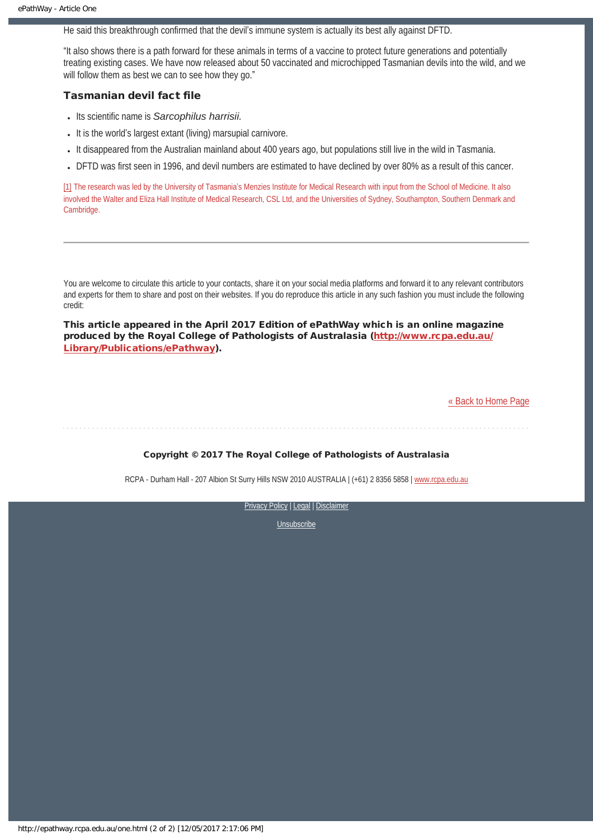He said this breakthrough confirmed that the devil's immune system is actually its best ally against DFTD.

"It also shows there is a path forward for these animals in terms of a vaccine to protect future generations and potentially treating existing cases. We have now released about 50 vaccinated and microchipped Tasmanian devils into the wild, and we will follow them as best we can to see how they go."

### Tasmanian devil fact file

- Its scientific name is *Sarcophilus harrisii.*
- It is the world's largest extant (living) marsupial carnivore.
- It disappeared from the Australian mainland about 400 years ago, but populations still live in the wild in Tasmania.
- DFTD was first seen in 1996, and devil numbers are estimated to have declined by over 80% as a result of this cancer.

<span id="page-7-0"></span>[\[1\]](#page-6-1) The research was led by the University of Tasmania's Menzies Institute for Medical Research with input from the School of Medicine. It also involved the Walter and Eliza Hall Institute of Medical Research, CSL Ltd, and the Universities of Sydney, Southampton, Southern Denmark and Cambridge.

You are welcome to circulate this article to your contacts, share it on your social media platforms and forward it to any relevant contributors and experts for them to share and post on their websites. If you do reproduce this article in any such fashion you must include the following credit:

This article appeared in the April 2017 Edition of ePathWay which is an online magazine produced by the Royal College of Pathologists of Australasia ([http://www.rcpa.edu.au/](http://www.rcpa.edu.au/Library/Publications/ePathway) [Library/Publications/ePathway\)](http://www.rcpa.edu.au/Library/Publications/ePathway).

[« Back to Home Page](http://epathway.rcpa.edu.au/index.html)

Copyright © 2017 The Royal College of Pathologists of Australasia

RCPA - Durham Hall - 207 Albion St Surry Hills NSW 2010 AUSTRALIA | (+61) 2 8356 5858 | [www.rcpa.edu.au](https://www.rcpa.edu.au/)

[Privacy Policy](https://www.rcpa.edu.au/Content-Library/Privacy.aspx) | [Legal](https://www.rcpa.edu.au/Legal.aspx) | Disclaimer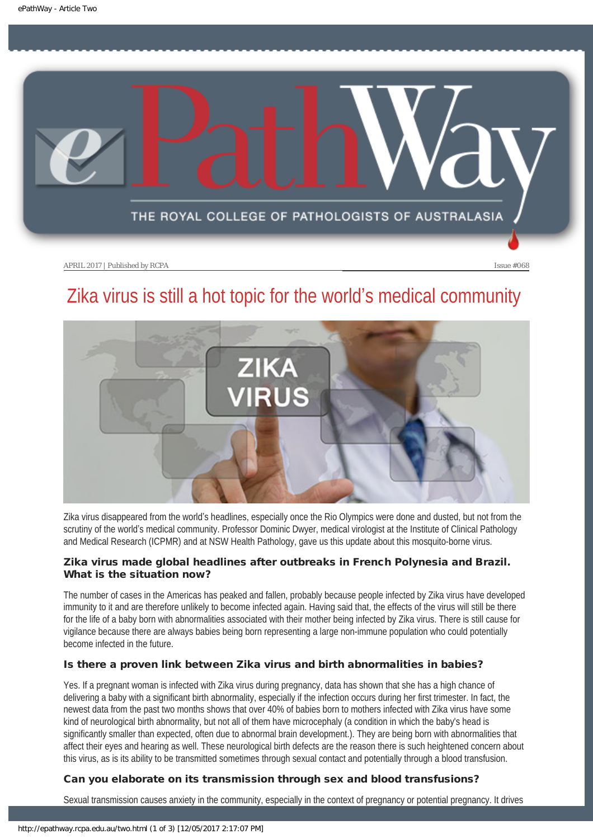<span id="page-8-0"></span>

# Zika virus is still a hot topic for the world's medical community



Zika virus disappeared from the world's headlines, especially once the Rio Olympics were done and dusted, but not from the scrutiny of the world's medical community. Professor Dominic Dwyer, medical virologist at the Institute of Clinical Pathology and Medical Research (ICPMR) and at NSW Health Pathology, gave us this update about this mosquito-borne virus.

## Zika virus made global headlines after outbreaks in French Polynesia and Brazil. What is the situation now?

The number of cases in the Americas has peaked and fallen, probably because people infected by Zika virus have developed immunity to it and are therefore unlikely to become infected again. Having said that, the effects of the virus will still be there for the life of a baby born with abnormalities associated with their mother being infected by Zika virus. There is still cause for vigilance because there are always babies being born representing a large non-immune population who could potentially become infected in the future.

## Is there a proven link between Zika virus and birth abnormalities in babies?

Yes. If a pregnant woman is infected with Zika virus during pregnancy, data has shown that she has a high chance of delivering a baby with a significant birth abnormality, especially if the infection occurs during her first trimester. In fact, the newest data from the past two months shows that over 40% of babies born to mothers infected with Zika virus have some kind of neurological birth abnormality, but not all of them have microcephaly (a condition in which the baby's head is significantly smaller than expected, often due to abnormal brain development.). They are being born with abnormalities that affect their eyes and hearing as well. These neurological birth defects are the reason there is such heightened concern about this virus, as is its ability to be transmitted sometimes through sexual contact and potentially through a blood transfusion.

## Can you elaborate on its transmission through sex and blood transfusions?

Sexual transmission causes anxiety in the community, especially in the context of pregnancy or potential pregnancy. It drives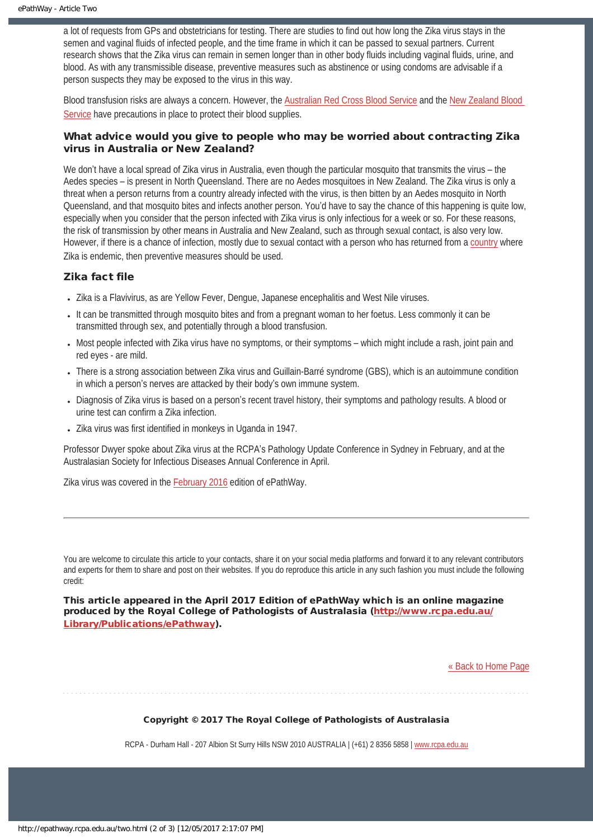a lot of requests from GPs and obstetricians for testing. There are studies to find out how long the Zika virus stays in the semen and vaginal fluids of infected people, and the time frame in which it can be passed to sexual partners. Current research shows that the Zika virus can remain in semen longer than in other body fluids including vaginal fluids, urine, and blood. As with any transmissible disease, preventive measures such as abstinence or using condoms are advisable if a person suspects they may be exposed to the virus in this way.

Blood transfusion risks are always a concern. However, the [Australian Red Cross Blood Service](http://www.donateblood.com.au/media/news/blood-service-statement-zika-virus) and the [New Zealand Blood](http://www.nzblood.co.nz/news/2016/updated-zika-virus-and-the-safety-of-new-zealands-blood-supply/) [Service](http://www.nzblood.co.nz/news/2016/updated-zika-virus-and-the-safety-of-new-zealands-blood-supply/) have precautions in place to protect their blood supplies.

## What advice would you give to people who may be worried about contracting Zika virus in Australia or New Zealand?

We don't have a local spread of Zika virus in Australia, even though the particular mosquito that transmits the virus – the Aedes species – is present in North Queensland. There are no Aedes mosquitoes in New Zealand. The Zika virus is only a threat when a person returns from a country already infected with the virus, is then bitten by an Aedes mosquito in North Queensland, and that mosquito bites and infects another person. You'd have to say the chance of this happening is quite low, especially when you consider that the person infected with Zika virus is only infectious for a week or so. For these reasons, the risk of transmission by other means in Australia and New Zealand, such as through sexual contact, is also very low. However, if there is a chance of infection, mostly due to sexual contact with a person who has returned from a [country](http://www.health.gov.au/internet/main/publishing.nsf/content/ohp-zika-countries.htm) where Zika is endemic, then preventive measures should be used.

## Zika fact file

- Zika is a Flavivirus, as are Yellow Fever, Dengue, Japanese encephalitis and West Nile viruses.
- It can be transmitted through mosquito bites and from a pregnant woman to her foetus. Less commonly it can be transmitted through sex, and potentially through a blood transfusion.
- Most people infected with Zika virus have no symptoms, or their symptoms which might include a rash, joint pain and red eyes - are mild.
- There is a strong association between Zika virus and Guillain-Barré syndrome (GBS), which is an autoimmune condition in which a person's nerves are attacked by their body's own immune system.
- Diagnosis of Zika virus is based on a person's recent travel history, their symptoms and pathology results. A blood or urine test can confirm a Zika infection.
- Zika virus was first identified in monkeys in Uganda in 1947.

Professor Dwyer spoke about Zika virus at the RCPA's Pathology Update Conference in Sydney in February, and at the Australasian Society for Infectious Diseases Annual Conference in April.

Zika virus was covered in the [February 2016](http://epathway.rcpa.edu.au/previous/055_0216.pdf) edition of ePathWay.

You are welcome to circulate this article to your contacts, share it on your social media platforms and forward it to any relevant contributors and experts for them to share and post on their websites. If you do reproduce this article in any such fashion you must include the following credit:

This article appeared in the April 2017 Edition of ePathWay which is an online magazine produced by the Royal College of Pathologists of Australasia ([http://www.rcpa.edu.au/](http://www.rcpa.edu.au/Library/Publications/ePathway) [Library/Publications/ePathway\)](http://www.rcpa.edu.au/Library/Publications/ePathway).

[« Back to Home Page](http://epathway.rcpa.edu.au/index.html)

Copyright © 2017 The Royal College of Pathologists of Australasia

RCPA - Durham Hall - 207 Albion St Surry Hills NSW 2010 AUSTRALIA | (+61) 2 8356 5858 | [www.rcpa.edu.au](https://www.rcpa.edu.au/)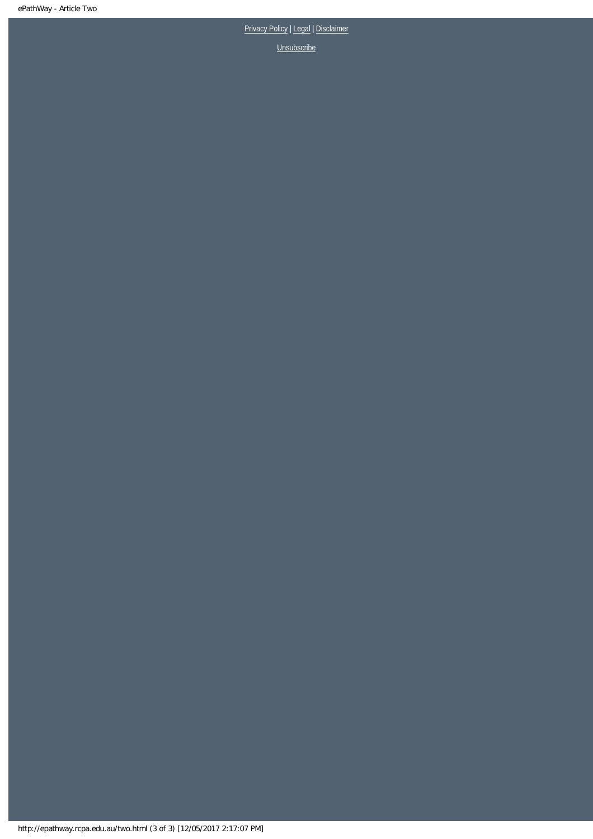# [Privacy Policy](https://www.rcpa.edu.au/Content-Library/Privacy.aspx) | [Legal](https://www.rcpa.edu.au/Legal.aspx) | Disclaimer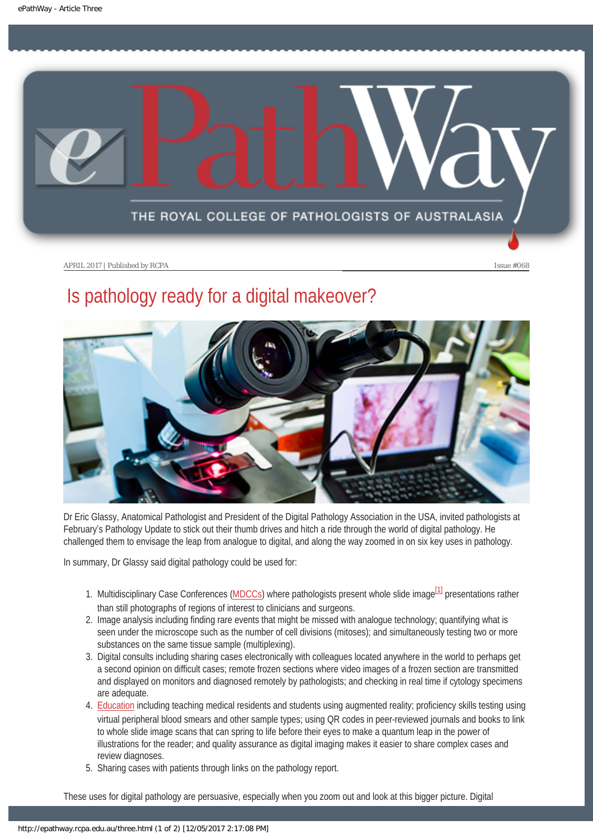<span id="page-11-0"></span>

# Is pathology ready for a digital makeover?



Dr Eric Glassy, Anatomical Pathologist and President of the Digital Pathology Association in the USA, invited pathologists at February's Pathology Update to stick out their thumb drives and hitch a ride through the world of digital pathology. He challenged them to envisage the leap from analogue to digital, and along the way zoomed in on six key uses in pathology.

<span id="page-11-1"></span>In summary, Dr Glassy said digital pathology could be used for:

- 1. Multidisciplinary Case Conferences ([MDCCs\)](http://epathway.rcpa.edu.au/previous/015_0612.pdf) where pathologists present whole slide image<sup>[\[1\]](#page-12-0)</sup> presentations rather than still photographs of regions of interest to clinicians and surgeons.
- 2. Image analysis including finding rare events that might be missed with analogue technology; quantifying what is seen under the microscope such as the number of cell divisions (mitoses); and simultaneously testing two or more substances on the same tissue sample (multiplexing).
- 3. Digital consults including sharing cases electronically with colleagues located anywhere in the world to perhaps get a second opinion on difficult cases; remote frozen sections where video images of a frozen section are transmitted and displayed on monitors and diagnosed remotely by pathologists; and checking in real time if cytology specimens are adequate.
- 4. [Education](https://thepathologist.com/issues/0916/virtual-reality-check/) including teaching medical residents and students using augmented reality; proficiency skills testing using virtual peripheral blood smears and other sample types; using QR codes in peer-reviewed journals and books to link to whole slide image scans that can spring to life before their eyes to make a quantum leap in the power of illustrations for the reader; and quality assurance as digital imaging makes it easier to share complex cases and review diagnoses.
- 5. Sharing cases with patients through links on the pathology report.

These uses for digital pathology are persuasive, especially when you zoom out and look at this bigger picture. Digital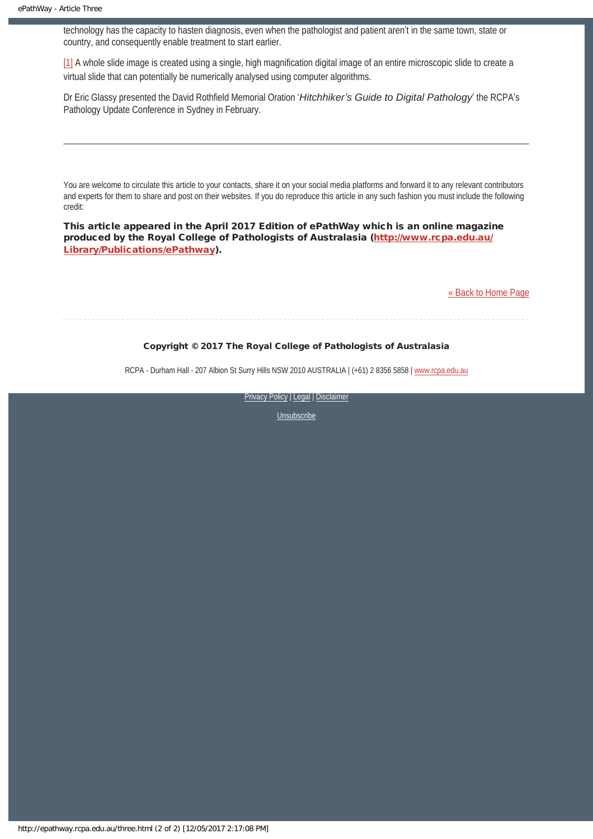technology has the capacity to hasten diagnosis, even when the pathologist and patient aren't in the same town, state or country, and consequently enable treatment to start earlier.

<span id="page-12-0"></span>[\[1\]](#page-11-1) A whole slide image is created using a single, high magnification digital image of an entire microscopic slide to create a virtual slide that can potentially be numerically analysed using computer algorithms.

Dr Eric Glassy presented the David Rothfield Memorial Oration '*Hitchhiker's Guide to Digital Pathology*' the RCPA's Pathology Update Conference in Sydney in February.

You are welcome to circulate this article to your contacts, share it on your social media platforms and forward it to any relevant contributors and experts for them to share and post on their websites. If you do reproduce this article in any such fashion you must include the following credit:

This article appeared in the April 2017 Edition of ePathWay which is an online magazine produced by the Royal College of Pathologists of Australasia ([http://www.rcpa.edu.au/](http://www.rcpa.edu.au/Library/Publications/ePathway) [Library/Publications/ePathway\)](http://www.rcpa.edu.au/Library/Publications/ePathway).

[« Back to Home Page](http://epathway.rcpa.edu.au/index.html)

## Copyright © 2017 The Royal College of Pathologists of Australasia

RCPA - Durham Hall - 207 Albion St Surry Hills NSW 2010 AUSTRALIA | (+61) 2 8356 5858 | [www.rcpa.edu.au](https://www.rcpa.edu.au/)

[Privacy Policy](https://www.rcpa.edu.au/Content-Library/Privacy.aspx) | [Legal](https://www.rcpa.edu.au/Legal.aspx) | Disclaimer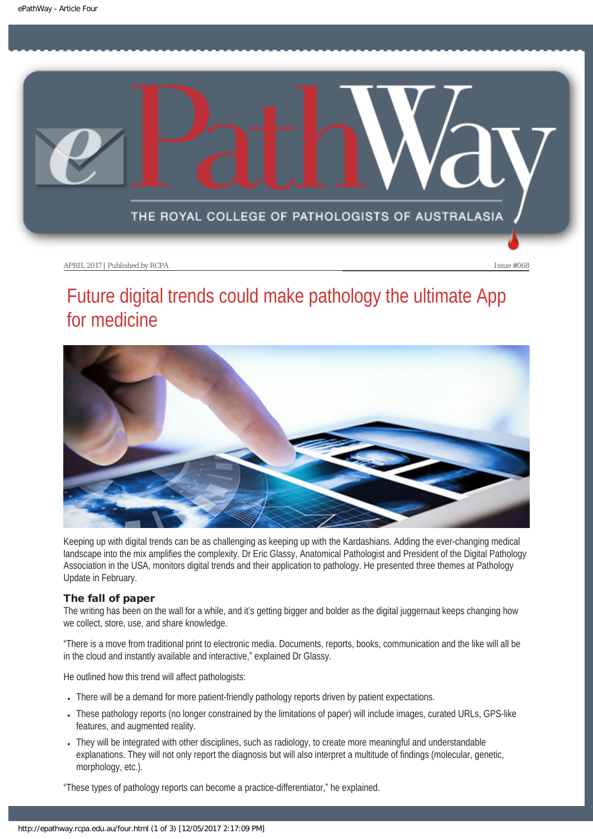<span id="page-13-0"></span>

# Future digital trends could make pathology the ultimate App for medicine



Keeping up with digital trends can be as challenging as keeping up with the Kardashians. Adding the ever-changing medical landscape into the mix amplifies the complexity. Dr Eric Glassy, Anatomical Pathologist and President of the Digital Pathology Association in the USA, monitors digital trends and their application to pathology. He presented three themes at Pathology Update in February.

#### The fall of paper

The writing has been on the wall for a while, and it's getting bigger and bolder as the digital juggernaut keeps changing how we collect, store, use, and share knowledge.

"There is a move from traditional print to electronic media. Documents, reports, books, communication and the like will all be in the cloud and instantly available and interactive," explained Dr Glassy.

He outlined how this trend will affect pathologists:

- There will be a demand for more patient-friendly pathology reports driven by patient expectations.
- These pathology reports (no longer constrained by the limitations of paper) will include images, curated URLs, GPS-like features, and augmented reality.
- They will be integrated with other disciplines, such as radiology, to create more meaningful and understandable explanations. They will not only report the diagnosis but will also interpret a multitude of findings (molecular, genetic, morphology, etc.).

"These types of pathology reports can become a practice-differentiator," he explained.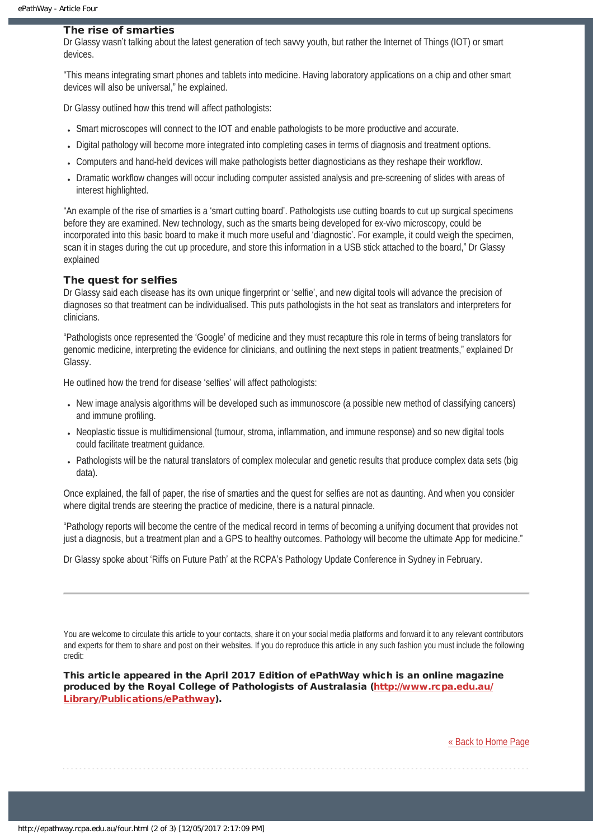#### The rise of smarties

Dr Glassy wasn't talking about the latest generation of tech savvy youth, but rather the Internet of Things (IOT) or smart devices.

"This means integrating smart phones and tablets into medicine. Having laboratory applications on a chip and other smart devices will also be universal," he explained.

Dr Glassy outlined how this trend will affect pathologists:

- Smart microscopes will connect to the IOT and enable pathologists to be more productive and accurate.
- Digital pathology will become more integrated into completing cases in terms of diagnosis and treatment options.
- Computers and hand-held devices will make pathologists better diagnosticians as they reshape their workflow.
- Dramatic workflow changes will occur including computer assisted analysis and pre-screening of slides with areas of interest highlighted.

"An example of the rise of smarties is a 'smart cutting board'. Pathologists use cutting boards to cut up surgical specimens before they are examined. New technology, such as the smarts being developed for ex-vivo microscopy, could be incorporated into this basic board to make it much more useful and 'diagnostic'. For example, it could weigh the specimen, scan it in stages during the cut up procedure, and store this information in a USB stick attached to the board," Dr Glassy explained

#### The quest for selfies

Dr Glassy said each disease has its own unique fingerprint or 'selfie', and new digital tools will advance the precision of diagnoses so that treatment can be individualised. This puts pathologists in the hot seat as translators and interpreters for clinicians.

"Pathologists once represented the 'Google' of medicine and they must recapture this role in terms of being translators for genomic medicine, interpreting the evidence for clinicians, and outlining the next steps in patient treatments," explained Dr Glassy.

He outlined how the trend for disease 'selfies' will affect pathologists:

- New image analysis algorithms will be developed such as immunoscore (a possible new method of classifying cancers) and immune profiling.
- Neoplastic tissue is multidimensional (tumour, stroma, inflammation, and immune response) and so new digital tools could facilitate treatment guidance.
- Pathologists will be the natural translators of complex molecular and genetic results that produce complex data sets (big data).

Once explained, the fall of paper, the rise of smarties and the quest for selfies are not as daunting. And when you consider where digital trends are steering the practice of medicine, there is a natural pinnacle.

"Pathology reports will become the centre of the medical record in terms of becoming a unifying document that provides not just a diagnosis, but a treatment plan and a GPS to healthy outcomes. Pathology will become the ultimate App for medicine."

Dr Glassy spoke about 'Riffs on Future Path' at the RCPA's Pathology Update Conference in Sydney in February.

You are welcome to circulate this article to your contacts, share it on your social media platforms and forward it to any relevant contributors and experts for them to share and post on their websites. If you do reproduce this article in any such fashion you must include the following credit:

This article appeared in the April 2017 Edition of ePathWay which is an online magazine produced by the Royal College of Pathologists of Australasia ([http://www.rcpa.edu.au/](http://www.rcpa.edu.au/Library/Publications/ePathway) [Library/Publications/ePathway\)](http://www.rcpa.edu.au/Library/Publications/ePathway).

[« Back to Home Page](http://epathway.rcpa.edu.au/index.html)